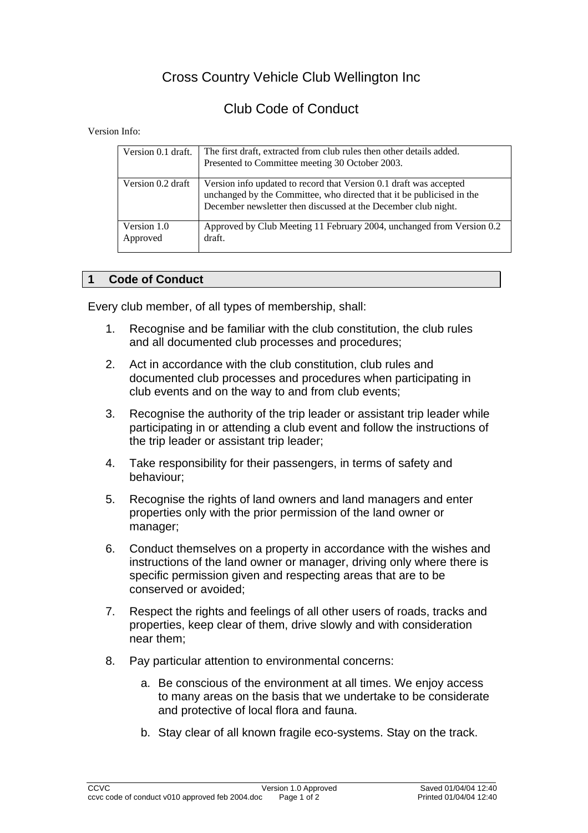## Cross Country Vehicle Club Wellington Inc

## Club Code of Conduct

Version Info:

| Version 0.1 draft.      | The first draft, extracted from club rules then other details added.<br>Presented to Committee meeting 30 October 2003.                                                                                       |
|-------------------------|---------------------------------------------------------------------------------------------------------------------------------------------------------------------------------------------------------------|
| Version 0.2 draft       | Version info updated to record that Version 0.1 draft was accepted<br>unchanged by the Committee, who directed that it be publicised in the<br>December newsletter then discussed at the December club night. |
| Version 1.0<br>Approved | Approved by Club Meeting 11 February 2004, unchanged from Version 0.2<br>draft.                                                                                                                               |

## **1 Code of Conduct**

Every club member, of all types of membership, shall:

- 1. Recognise and be familiar with the club constitution, the club rules and all documented club processes and procedures;
- 2. Act in accordance with the club constitution, club rules and documented club processes and procedures when participating in club events and on the way to and from club events;
- 3. Recognise the authority of the trip leader or assistant trip leader while participating in or attending a club event and follow the instructions of the trip leader or assistant trip leader;
- 4. Take responsibility for their passengers, in terms of safety and behaviour;
- 5. Recognise the rights of land owners and land managers and enter properties only with the prior permission of the land owner or manager;
- 6. Conduct themselves on a property in accordance with the wishes and instructions of the land owner or manager, driving only where there is specific permission given and respecting areas that are to be conserved or avoided;
- 7. Respect the rights and feelings of all other users of roads, tracks and properties, keep clear of them, drive slowly and with consideration near them;
- 8. Pay particular attention to environmental concerns:
	- a. Be conscious of the environment at all times. We enjoy access to many areas on the basis that we undertake to be considerate and protective of local flora and fauna.
	- b. Stay clear of all known fragile eco-systems. Stay on the track.